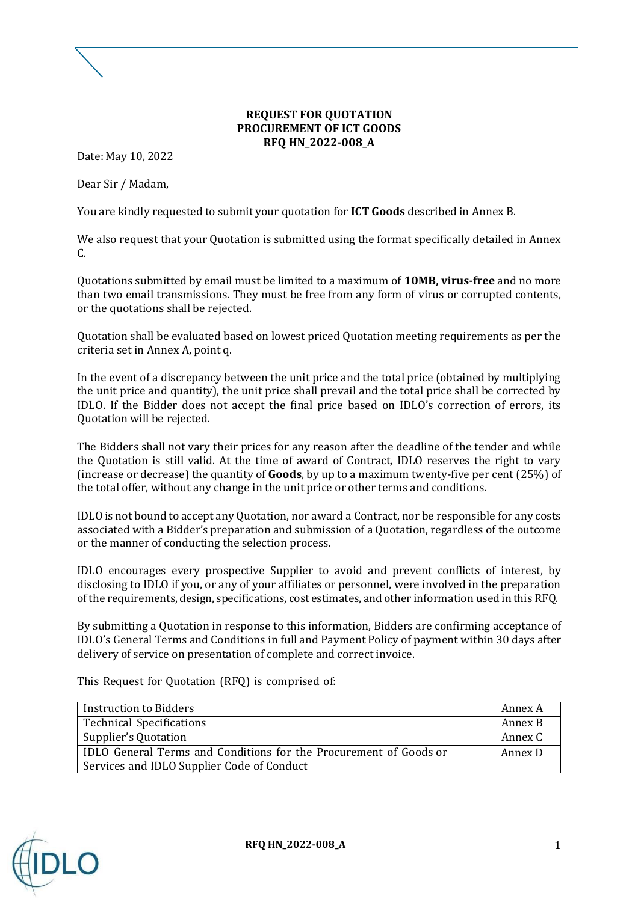### **REQUEST FOR QUOTATION PROCUREMENT OF ICT GOODS RFQ HN\_2022-008\_A**

Date: May 10, 2022

Dear Sir / Madam,

You are kindly requested to submit your quotation for **ICT Goods** described in Annex B.

We also request that your Quotation is submitted using the format specifically detailed in Annex C.

Quotations submitted by email must be limited to a maximum of **10MB, virus-free** and no more than two email transmissions. They must be free from any form of virus or corrupted contents, or the quotations shall be rejected.

Quotation shall be evaluated based on lowest priced Quotation meeting requirements as per the criteria set in Annex A, point q.

In the event of a discrepancy between the unit price and the total price (obtained by multiplying the unit price and quantity), the unit price shall prevail and the total price shall be corrected by IDLO. If the Bidder does not accept the final price based on IDLO's correction of errors, its Quotation will be rejected.

The Bidders shall not vary their prices for any reason after the deadline of the tender and while the Quotation is still valid. At the time of award of Contract, IDLO reserves the right to vary (increase or decrease) the quantity of **Goods**, by up to a maximum twenty-five per cent (25%) of the total offer, without any change in the unit price or other terms and conditions.

IDLO is not bound to accept any Quotation, nor award a Contract, nor be responsible for any costs associated with a Bidder's preparation and submission of a Quotation, regardless of the outcome or the manner of conducting the selection process.

IDLO encourages every prospective Supplier to avoid and prevent conflicts of interest, by disclosing to IDLO if you, or any of your affiliates or personnel, were involved in the preparation ofthe requirements, design, specifications, cost estimates, andother information used in this RFQ.

By submitting a Quotation in response to this information, Bidders are confirming acceptance of IDLO's General Terms and Conditions in full and Payment Policy of payment within 30 days after delivery of service on presentation of complete and correct invoice.

| <b>Instruction to Bidders</b>                                     | Annex A |
|-------------------------------------------------------------------|---------|
| <b>Technical Specifications</b>                                   | Annex B |
| Supplier's Quotation                                              | Annex C |
| IDLO General Terms and Conditions for the Procurement of Goods or | Annex D |
| Services and IDLO Supplier Code of Conduct                        |         |

This Request for Quotation (RFQ) is comprised of:

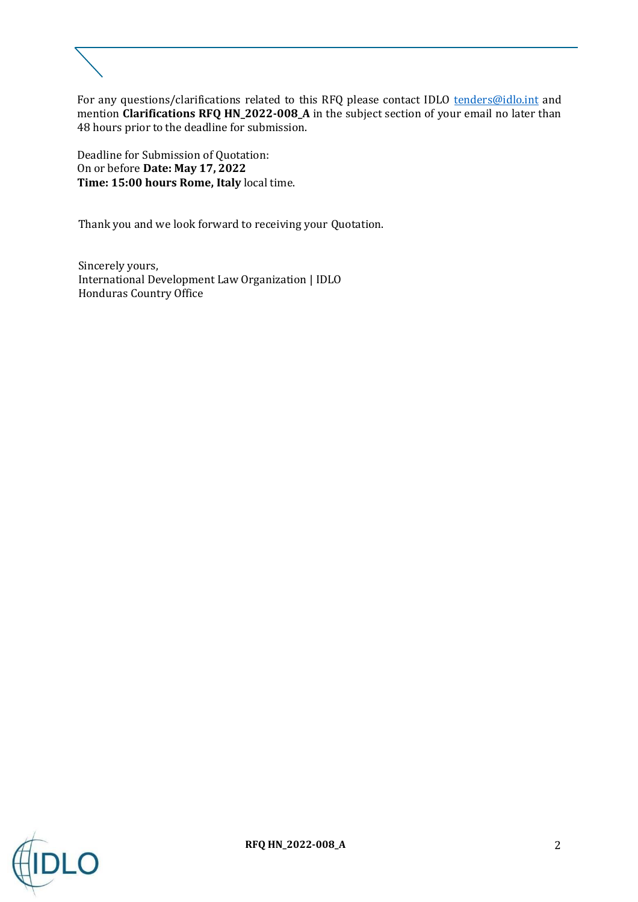For any questions/clarifications related to this RFQ please contact IDLO [tenders@idlo.int](mailto:tenders@idlo.int) and mention **Clarifications RFQ HN\_2022-008\_A** in the subject section of your email no later than 48 hours prior to the deadline for submission.

Deadline for Submission of Quotation: On or before **Date: May 17, 2022 Time: 15:00 hours Rome, Italy** local time.

Thank you and we look forward to receiving your Quotation.

Sincerely yours, International Development Law Organization | IDLO Honduras Country Office

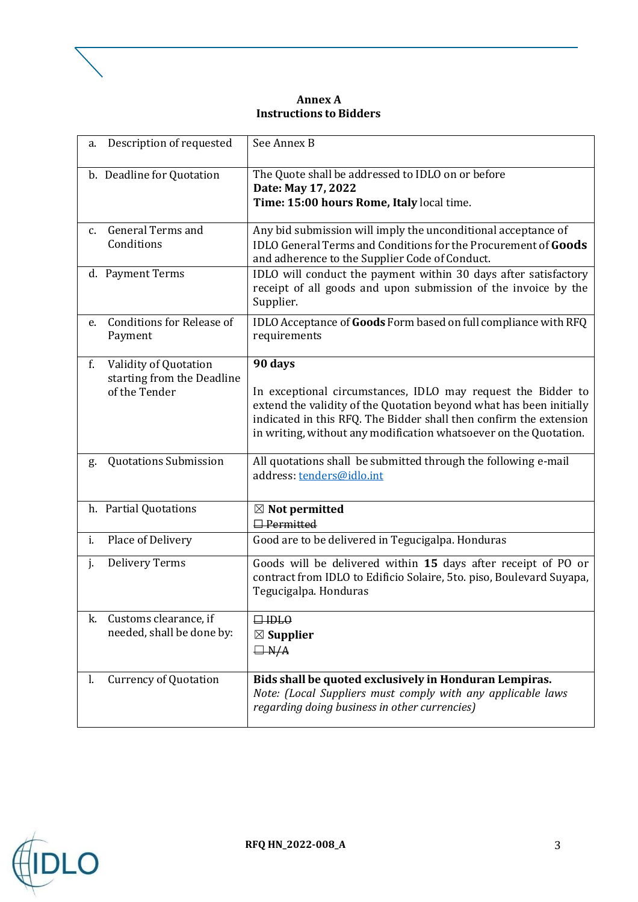

| Annex A                        |  |  |  |
|--------------------------------|--|--|--|
| <b>Instructions to Bidders</b> |  |  |  |

| a. | Description of requested                                             | See Annex B                                                                                                                                                                                                                                                                               |
|----|----------------------------------------------------------------------|-------------------------------------------------------------------------------------------------------------------------------------------------------------------------------------------------------------------------------------------------------------------------------------------|
|    | b. Deadline for Quotation                                            | The Quote shall be addressed to IDLO on or before<br>Date: May 17, 2022<br>Time: 15:00 hours Rome, Italy local time.                                                                                                                                                                      |
| C. | <b>General Terms and</b><br>Conditions                               | Any bid submission will imply the unconditional acceptance of<br>IDLO General Terms and Conditions for the Procurement of Goods<br>and adherence to the Supplier Code of Conduct.                                                                                                         |
|    | d. Payment Terms                                                     | IDLO will conduct the payment within 30 days after satisfactory<br>receipt of all goods and upon submission of the invoice by the<br>Supplier.                                                                                                                                            |
| e. | <b>Conditions for Release of</b><br>Payment                          | IDLO Acceptance of Goods Form based on full compliance with RFQ<br>requirements                                                                                                                                                                                                           |
| f. | Validity of Quotation<br>starting from the Deadline<br>of the Tender | 90 days<br>In exceptional circumstances, IDLO may request the Bidder to<br>extend the validity of the Quotation beyond what has been initially<br>indicated in this RFQ. The Bidder shall then confirm the extension<br>in writing, without any modification whatsoever on the Quotation. |
| g. | <b>Quotations Submission</b>                                         | All quotations shall be submitted through the following e-mail<br>address: tenders@idlo.int                                                                                                                                                                                               |
|    | h. Partial Quotations                                                | $\boxtimes$ Not permitted<br>$\Box$ Permitted                                                                                                                                                                                                                                             |
| i. | Place of Delivery                                                    | Good are to be delivered in Tegucigalpa. Honduras                                                                                                                                                                                                                                         |
| j. | <b>Delivery Terms</b>                                                | Goods will be delivered within 15 days after receipt of PO or<br>contract from IDLO to Edificio Solaire, 5to. piso, Boulevard Suyapa,<br>Tegucigalpa. Honduras                                                                                                                            |
| k. | Customs clearance, if<br>needed, shall be done by:                   | $\Box$ HDLO<br>$\boxtimes$ Supplier<br>$\Box N/A$                                                                                                                                                                                                                                         |
| I. | <b>Currency of Quotation</b>                                         | Bids shall be quoted exclusively in Honduran Lempiras.<br>Note: (Local Suppliers must comply with any applicable laws<br>regarding doing business in other currencies)                                                                                                                    |

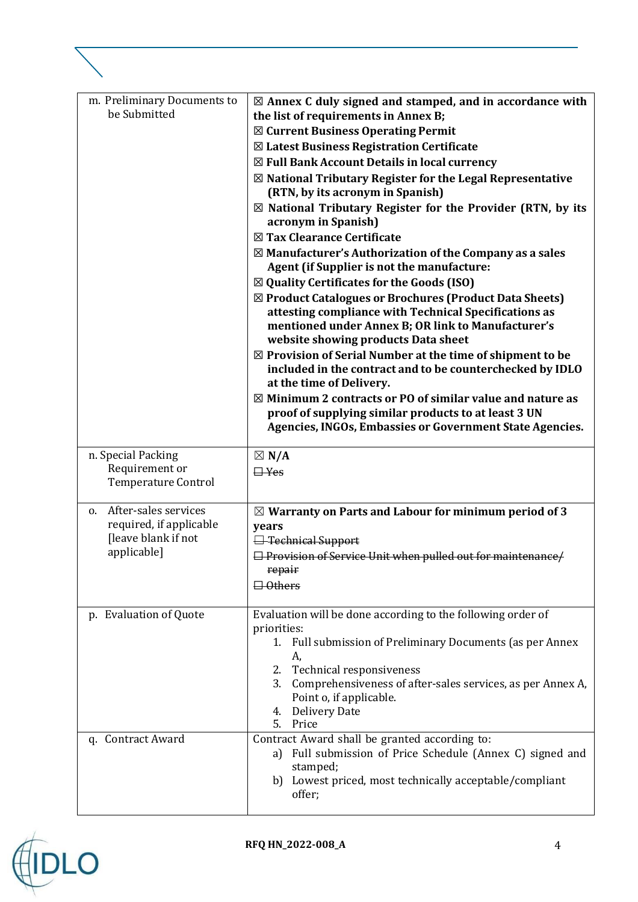| m. Preliminary Documents to<br>be Submitted                                                 | $\boxtimes$ Annex C duly signed and stamped, and in accordance with<br>the list of requirements in Annex B;<br>$\boxtimes$ Current Business Operating Permit<br>$\boxtimes$ Latest Business Registration Certificate<br>⊠ Full Bank Account Details in local currency<br>$\boxtimes$ National Tributary Register for the Legal Representative<br>(RTN, by its acronym in Spanish)<br>$\boxtimes$ National Tributary Register for the Provider (RTN, by its<br>acronym in Spanish)<br>⊠ Tax Clearance Certificate<br>$\boxtimes$ Manufacturer's Authorization of the Company as a sales<br>Agent (if Supplier is not the manufacture:<br>$\boxtimes$ Quality Certificates for the Goods (ISO)<br>$\boxtimes$ Product Catalogues or Brochures (Product Data Sheets)<br>attesting compliance with Technical Specifications as<br>mentioned under Annex B; OR link to Manufacturer's<br>website showing products Data sheet<br>$\boxtimes$ Provision of Serial Number at the time of shipment to be<br>included in the contract and to be counterchecked by IDLO<br>at the time of Delivery.<br>$\boxtimes$ Minimum 2 contracts or PO of similar value and nature as<br>proof of supplying similar products to at least 3 UN<br>Agencies, INGOs, Embassies or Government State Agencies. |
|---------------------------------------------------------------------------------------------|--------------------------------------------------------------------------------------------------------------------------------------------------------------------------------------------------------------------------------------------------------------------------------------------------------------------------------------------------------------------------------------------------------------------------------------------------------------------------------------------------------------------------------------------------------------------------------------------------------------------------------------------------------------------------------------------------------------------------------------------------------------------------------------------------------------------------------------------------------------------------------------------------------------------------------------------------------------------------------------------------------------------------------------------------------------------------------------------------------------------------------------------------------------------------------------------------------------------------------------------------------------------------------------|
| n. Special Packing<br>Requirement or<br><b>Temperature Control</b>                          | $\boxtimes$ N/A<br>$E$ Yes                                                                                                                                                                                                                                                                                                                                                                                                                                                                                                                                                                                                                                                                                                                                                                                                                                                                                                                                                                                                                                                                                                                                                                                                                                                           |
| After-sales services<br>0.<br>required, if applicable<br>[leave blank if not<br>applicable] | $\boxtimes$ Warranty on Parts and Labour for minimum period of 3<br>years<br><b>Executed</b> Support<br>$\Box$ Provision of Service Unit when pulled out for maintenance/<br>repair<br>$\Box$ Others                                                                                                                                                                                                                                                                                                                                                                                                                                                                                                                                                                                                                                                                                                                                                                                                                                                                                                                                                                                                                                                                                 |
| p. Evaluation of Quote                                                                      | Evaluation will be done according to the following order of<br>priorities:<br>1. Full submission of Preliminary Documents (as per Annex<br>A,<br>2. Technical responsiveness<br>Comprehensiveness of after-sales services, as per Annex A,<br>3.<br>Point o, if applicable.<br>4. Delivery Date<br>5. Price                                                                                                                                                                                                                                                                                                                                                                                                                                                                                                                                                                                                                                                                                                                                                                                                                                                                                                                                                                          |
| q. Contract Award                                                                           | Contract Award shall be granted according to:<br>Full submission of Price Schedule (Annex C) signed and<br>a)<br>stamped;<br>b) Lowest priced, most technically acceptable/compliant<br>offer;                                                                                                                                                                                                                                                                                                                                                                                                                                                                                                                                                                                                                                                                                                                                                                                                                                                                                                                                                                                                                                                                                       |

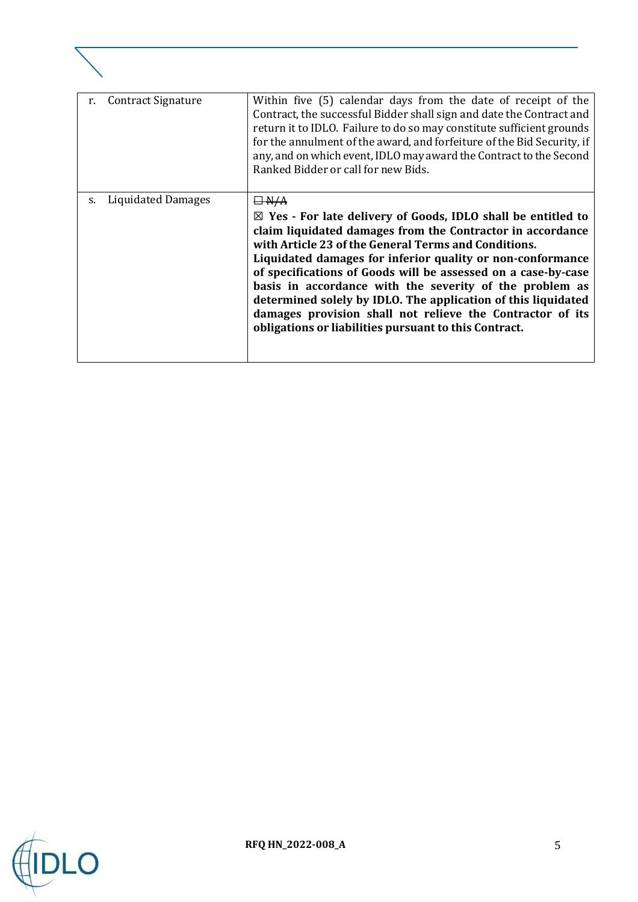| <b>Contract Signature</b><br>r. | Within five (5) calendar days from the date of receipt of the<br>Contract, the successful Bidder shall sign and date the Contract and<br>return it to IDLO. Failure to do so may constitute sufficient grounds<br>for the annulment of the award, and forfeiture of the Bid Security, if<br>any, and on which event, IDLO may award the Contract to the Second<br>Ranked Bidder or call for new Bids.                                                                                                                                                                                     |
|---------------------------------|-------------------------------------------------------------------------------------------------------------------------------------------------------------------------------------------------------------------------------------------------------------------------------------------------------------------------------------------------------------------------------------------------------------------------------------------------------------------------------------------------------------------------------------------------------------------------------------------|
| Liquidated Damages<br>S.        | $H_{A}$<br>$\boxtimes$ Yes - For late delivery of Goods, IDLO shall be entitled to<br>claim liquidated damages from the Contractor in accordance<br>with Article 23 of the General Terms and Conditions.<br>Liquidated damages for inferior quality or non-conformance<br>of specifications of Goods will be assessed on a case-by-case<br>basis in accordance with the severity of the problem as<br>determined solely by IDLO. The application of this liquidated<br>damages provision shall not relieve the Contractor of its<br>obligations or liabilities pursuant to this Contract. |

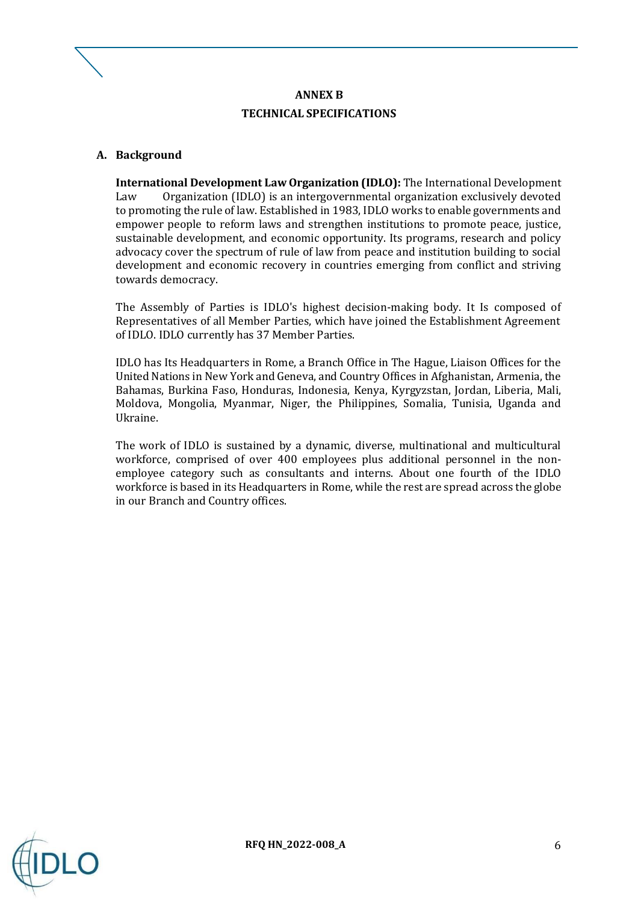### **ANNEX B**

## **TECHNICAL SPECIFICATIONS**

## **A. Background**

**International Development Law Organization (IDLO):** The International Development Law Organization (IDLO) is an intergovernmental organization exclusively devoted to promoting the rule of law. Established in 1983, IDLO works to enable governments and empower people to reform laws and strengthen institutions to promote peace, justice, sustainable development, and economic opportunity. Its programs, research and policy advocacy cover the spectrum of rule of law from peace and institution building to social development and economic recovery in countries emerging from conflict and striving towards democracy.

The Assembly of Parties is IDLO's highest decision-making body. It Is composed of Representatives of all Member Parties, which have joined the Establishment Agreement of IDLO. IDLO currently has 37 Member Parties.

IDLO has Its Headquarters in Rome, a Branch Office in The Hague, Liaison Offices for the United Nations in New York and Geneva, and Country Offices in Afghanistan, Armenia, the Bahamas, Burkina Faso, Honduras, Indonesia, Kenya, Kyrgyzstan, Jordan, Liberia, Mali, Moldova, Mongolia, Myanmar, Niger, the Philippines, Somalia, Tunisia, Uganda and Ukraine.

The work of IDLO is sustained by a dynamic, diverse, multinational and multicultural workforce, comprised of over 400 employees plus additional personnel in the nonemployee category such as consultants and interns. About one fourth of the IDLO workforce is based in its Headquarters in Rome, while the rest are spread across the globe in our Branch and Country offices.

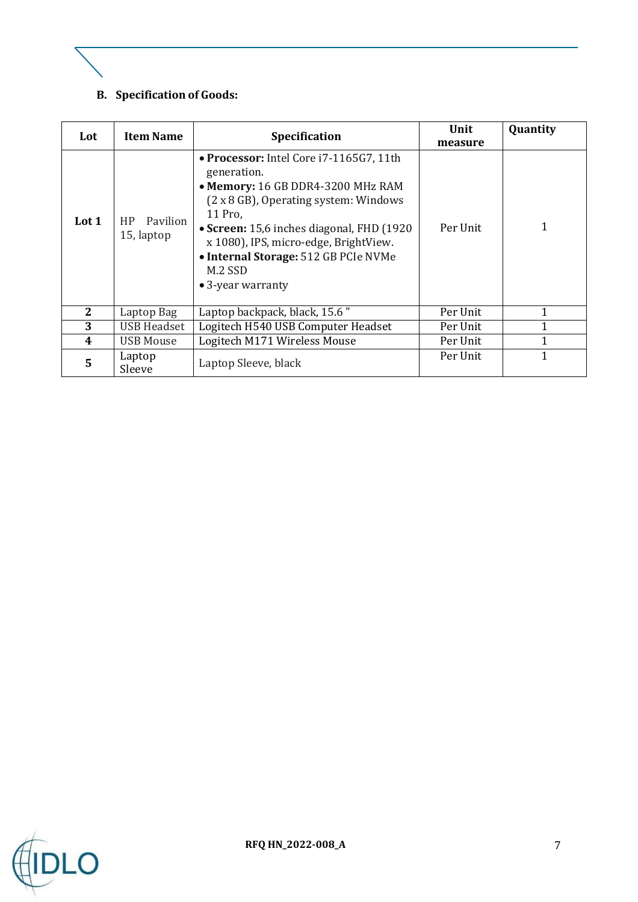# **B. Specification of Goods:**

| Lot                   | <b>Item Name</b>                         | <b>Specification</b>                                                                                                                                                                                                                                                                                           | Unit<br>measure | Quantity |
|-----------------------|------------------------------------------|----------------------------------------------------------------------------------------------------------------------------------------------------------------------------------------------------------------------------------------------------------------------------------------------------------------|-----------------|----------|
| Lot 1                 | Pavilion<br>H <sub>P</sub><br>15, laptop | • Processor: Intel Core i7-1165G7, 11th<br>generation.<br>• Memory: 16 GB DDR4-3200 MHz RAM<br>(2 x 8 GB), Operating system: Windows<br>11 Pro,<br>• Screen: 15,6 inches diagonal, FHD (1920)<br>x 1080), IPS, micro-edge, BrightView.<br>• Internal Storage: 512 GB PCIe NVMe<br>M.2 SSD<br>• 3-year warranty | Per Unit        |          |
| $\mathbf{2}^{\prime}$ | Laptop Bag                               | Laptop backpack, black, 15.6"                                                                                                                                                                                                                                                                                  | Per Unit        | 1        |
| 3                     | <b>USB Headset</b>                       | Logitech H540 USB Computer Headset                                                                                                                                                                                                                                                                             | Per Unit        |          |
| 4                     | USB Mouse                                | Logitech M171 Wireless Mouse                                                                                                                                                                                                                                                                                   | Per Unit        |          |
| 5                     | Laptop<br>Sleeve                         | Laptop Sleeve, black                                                                                                                                                                                                                                                                                           | Per Unit        | 1        |

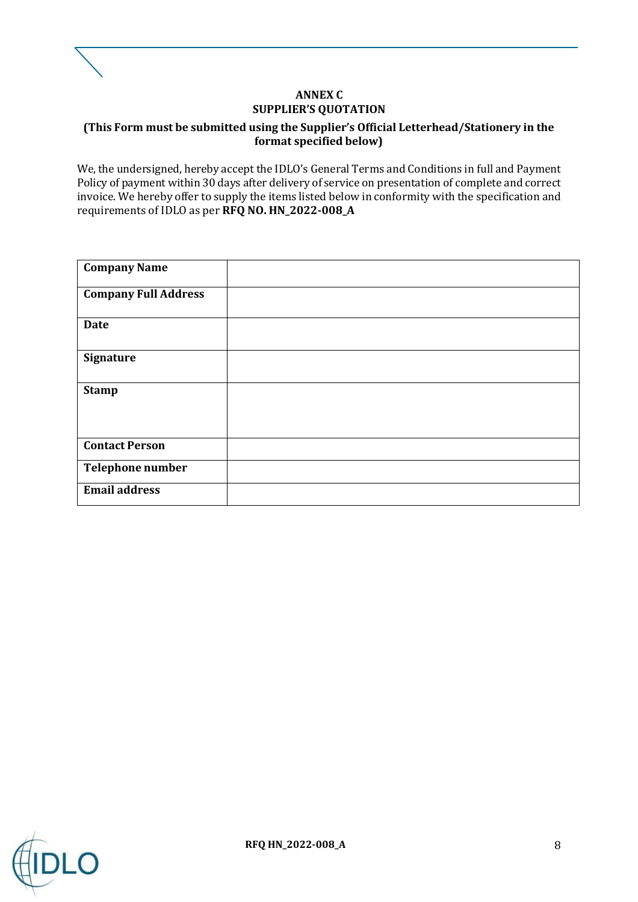

## **ANNEX C SUPPLIER'S QUOTATION**

## **(This Form must be submitted using the Supplier's Official Letterhead/Stationery in the format specified below)**

We, the undersigned, hereby accept the IDLO's General Terms and Conditions in full and Payment Policy of payment within 30 days after delivery of service on presentation of complete and correct invoice. We hereby offer to supply the items listed below in conformity with the specification and requirements of IDLO as per **RFQ NO. HN\_2022-008\_A**

| <b>Company Name</b>         |  |
|-----------------------------|--|
| <b>Company Full Address</b> |  |
| <b>Date</b>                 |  |
| Signature                   |  |
| <b>Stamp</b>                |  |
| <b>Contact Person</b>       |  |
| Telephone number            |  |
| <b>Email address</b>        |  |

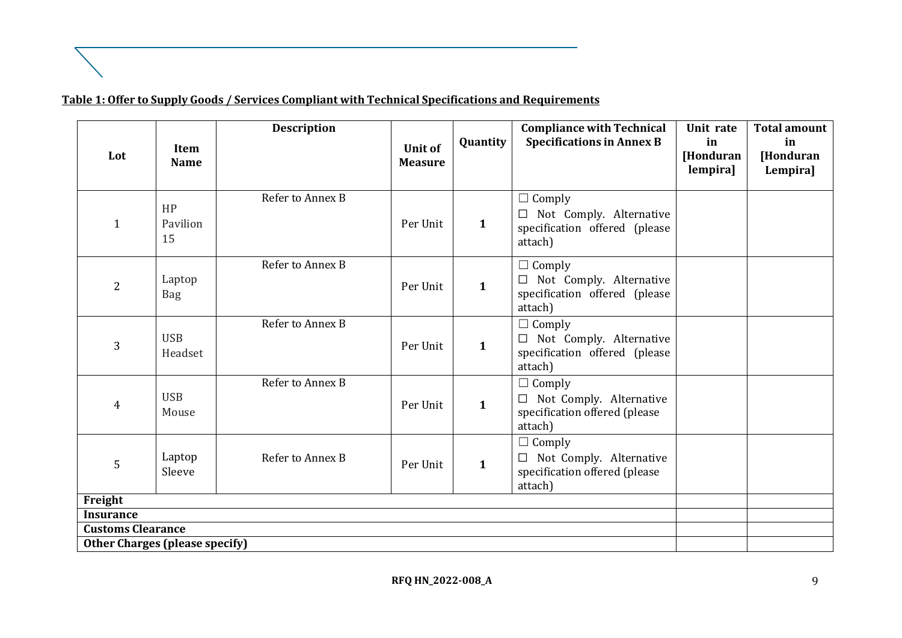| Table 1: Offer to Supply Goods / Services Compliant with Technical Specifications and Requirements |  |  |
|----------------------------------------------------------------------------------------------------|--|--|
|                                                                                                    |  |  |

| Lot                                                               | Item<br><b>Name</b>   | <b>Description</b> | <b>Unit of</b><br><b>Measure</b> | Quantity     | <b>Compliance with Technical</b><br><b>Specifications in Annex B</b>                        | Unit rate<br>in<br>[Honduran<br>lempira] | <b>Total amount</b><br>in<br>[Honduran<br>Lempira] |
|-------------------------------------------------------------------|-----------------------|--------------------|----------------------------------|--------------|---------------------------------------------------------------------------------------------|------------------------------------------|----------------------------------------------------|
| $\mathbf{1}$                                                      | HP<br>Pavilion<br>15  | Refer to Annex B   | Per Unit                         | $\mathbf{1}$ | $\Box$ Comply<br>$\Box$ Not Comply. Alternative<br>specification offered (please<br>attach) |                                          |                                                    |
| $\overline{2}$                                                    | Laptop<br>Bag         | Refer to Annex B   | Per Unit                         | $\mathbf{1}$ | $\Box$ Comply<br>$\Box$ Not Comply. Alternative<br>specification offered (please<br>attach) |                                          |                                                    |
| 3                                                                 | <b>USB</b><br>Headset | Refer to Annex B   | Per Unit                         | $\mathbf{1}$ | $\Box$ Comply<br>$\Box$ Not Comply. Alternative<br>specification offered (please<br>attach) |                                          |                                                    |
| 4                                                                 | <b>USB</b><br>Mouse   | Refer to Annex B   | Per Unit                         | $\mathbf{1}$ | $\Box$ Comply<br>$\Box$ Not Comply. Alternative<br>specification offered (please<br>attach) |                                          |                                                    |
| 5                                                                 | Laptop<br>Sleeve      | Refer to Annex B   | Per Unit                         | $\mathbf{1}$ | $\Box$ Comply<br>$\Box$ Not Comply. Alternative<br>specification offered (please<br>attach) |                                          |                                                    |
| Freight                                                           |                       |                    |                                  |              |                                                                                             |                                          |                                                    |
| <b>Insurance</b>                                                  |                       |                    |                                  |              |                                                                                             |                                          |                                                    |
| <b>Customs Clearance</b><br><b>Other Charges (please specify)</b> |                       |                    |                                  |              |                                                                                             |                                          |                                                    |
|                                                                   |                       |                    |                                  |              |                                                                                             |                                          |                                                    |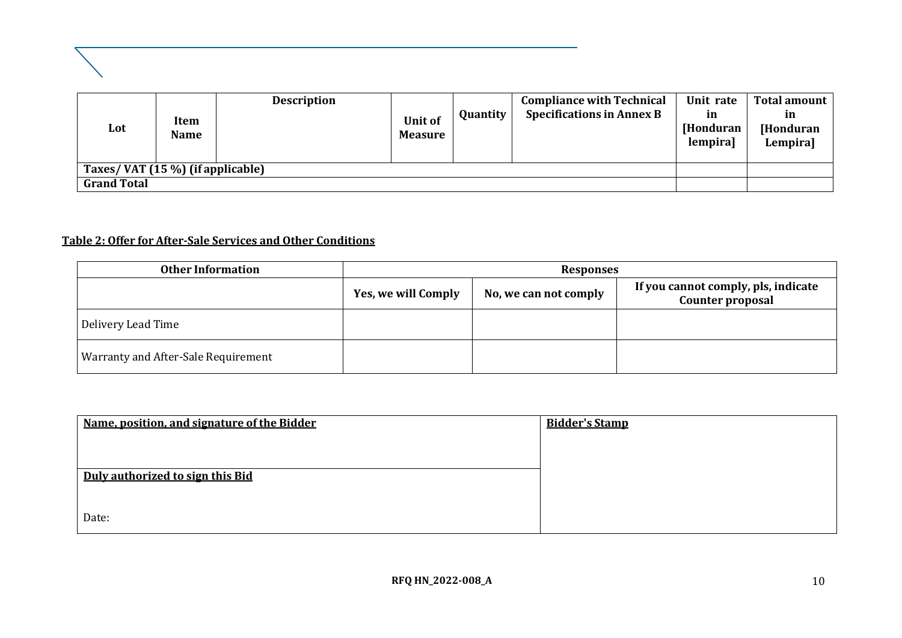| Lot                              | <b>Item</b><br><b>Name</b> | <b>Description</b> | Unit of<br><b>Measure</b> | Quantity | <b>Compliance with Technical</b><br><b>Specifications in Annex B</b> | Unit rate<br>m<br><b>[Honduran</b><br>lempira] | <b>Total amount</b><br>ın<br><b>[Honduran</b><br>Lempira] |
|----------------------------------|----------------------------|--------------------|---------------------------|----------|----------------------------------------------------------------------|------------------------------------------------|-----------------------------------------------------------|
| Taxes/VAT (15 %) (if applicable) |                            |                    |                           |          |                                                                      |                                                |                                                           |
| <b>Grand Total</b>               |                            |                    |                           |          |                                                                      |                                                |                                                           |

# **Table 2: Offer for After-Sale Services and Other Conditions**

| <b>Other Information</b>            | <b>Responses</b>    |                       |                                                         |  |  |
|-------------------------------------|---------------------|-----------------------|---------------------------------------------------------|--|--|
|                                     | Yes, we will Comply | No, we can not comply | If you cannot comply, pls, indicate<br>Counter proposal |  |  |
| Delivery Lead Time                  |                     |                       |                                                         |  |  |
| Warranty and After-Sale Requirement |                     |                       |                                                         |  |  |

| Name, position, and signature of the Bidder | <b>Bidder's Stamp</b> |
|---------------------------------------------|-----------------------|
|                                             |                       |
|                                             |                       |
| Duly authorized to sign this Bid            |                       |
|                                             |                       |
| Date:                                       |                       |